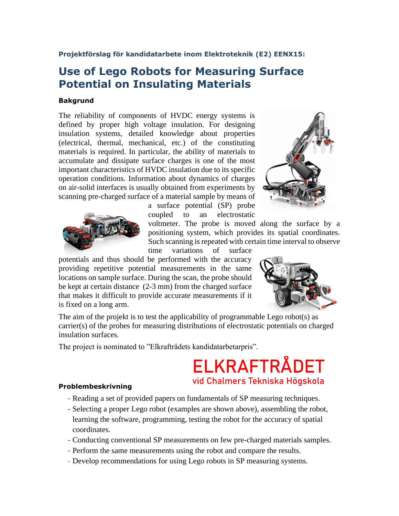### **Projektförslag för kandidatarbete inom Elektroteknik (E2) EENX15:**

## **Use of Lego Robots for Measuring Surface Potential on Insulating Materials**

#### **Bakgrund**

The reliability of components of HVDC energy systems is defined by proper high voltage insulation. For designing insulation systems, detailed knowledge about properties (electrical, thermal, mechanical, etc.) of the constituting materials is required. In particular, the ability of materials to accumulate and dissipate surface charges is one of the most important characteristics of HVDC insulation due to its specific operation conditions. Information about dynamics of charges on air-solid interfaces is usually obtained from experiments by scanning pre-charged surface of a material sample by means of





a surface potential (SP) probe coupled to an electrostatic

voltmeter. The probe is moved along the surface by a positioning system, which provides its spatial coordinates. Such scanning is repeated with certain time interval to observe

time variations of surface

potentials and thus should be performed with the accuracy providing repetitive potential measurements in the same locations on sample surface. During the scan, the probe should be kept at certain distance (2-3 mm) from the charged surface that makes it difficult to provide accurate measurements if it is fixed on a long arm.



The aim of the projekt is to test the applicability of programmable Lego robot(s) as carrier(s) of the probes for measuring distributions of electrostatic potentials on charged insulation surfaces.

The project is nominated to "Elkraftrådets kandidatarbetarpris".

# **ELKRAFTRÅDET** vid Chalmers Tekniska Högskola

#### **Problembeskrivning**

- Reading a set of provided papers on fundamentals of SP measuring techniques.
- Selecting a proper Lego robot (examples are shown above), assembling the robot, learning the software, programming, testing the robot for the accuracy of spatial coordinates.
- Conducting conventional SP measurements on few pre-charged materials samples.
- Perform the same measurements using the robot and compare the results.
- Develop recommendations for using Lego robots in SP measuring systems.